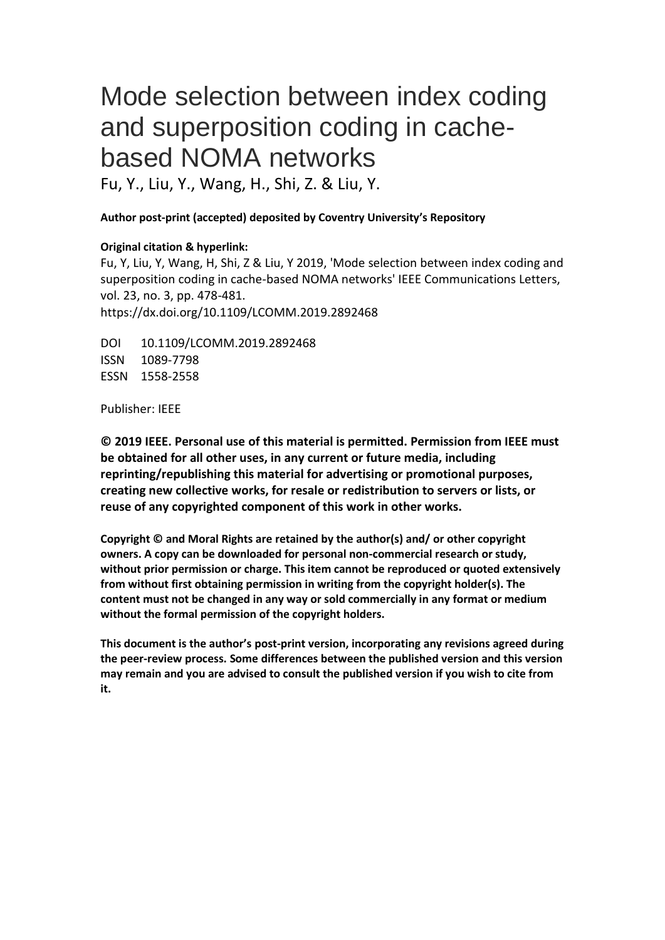# Mode selection between index coding and superposition coding in cachebased NOMA networks

Fu, Y., Liu, Y., Wang, H., Shi, Z. & Liu, Y.

## **Author post-print (accepted) deposited by Coventry University's Repository**

## **Original citation & hyperlink:**

Fu, Y, Liu, Y, Wang, H, Shi, Z & Liu, Y 2019, 'Mode selection between index coding and superposition coding in cache-based NOMA networks' IEEE Communications Letters, vol. 23, no. 3, pp. 478-481. https://dx.doi.org/10.1109/LCOMM.2019.2892468

DOI 10.1109/LCOMM.2019.2892468 ISSN 1089-7798 ESSN 1558-2558

Publisher: IEEE

**© 2019 IEEE. Personal use of this material is permitted. Permission from IEEE must be obtained for all other uses, in any current or future media, including reprinting/republishing this material for advertising or promotional purposes, creating new collective works, for resale or redistribution to servers or lists, or reuse of any copyrighted component of this work in other works.**

**Copyright © and Moral Rights are retained by the author(s) and/ or other copyright owners. A copy can be downloaded for personal non-commercial research or study, without prior permission or charge. This item cannot be reproduced or quoted extensively from without first obtaining permission in writing from the copyright holder(s). The content must not be changed in any way or sold commercially in any format or medium without the formal permission of the copyright holders.** 

**This document is the author's post-print version, incorporating any revisions agreed during the peer-review process. Some differences between the published version and this version may remain and you are advised to consult the published version if you wish to cite from it.**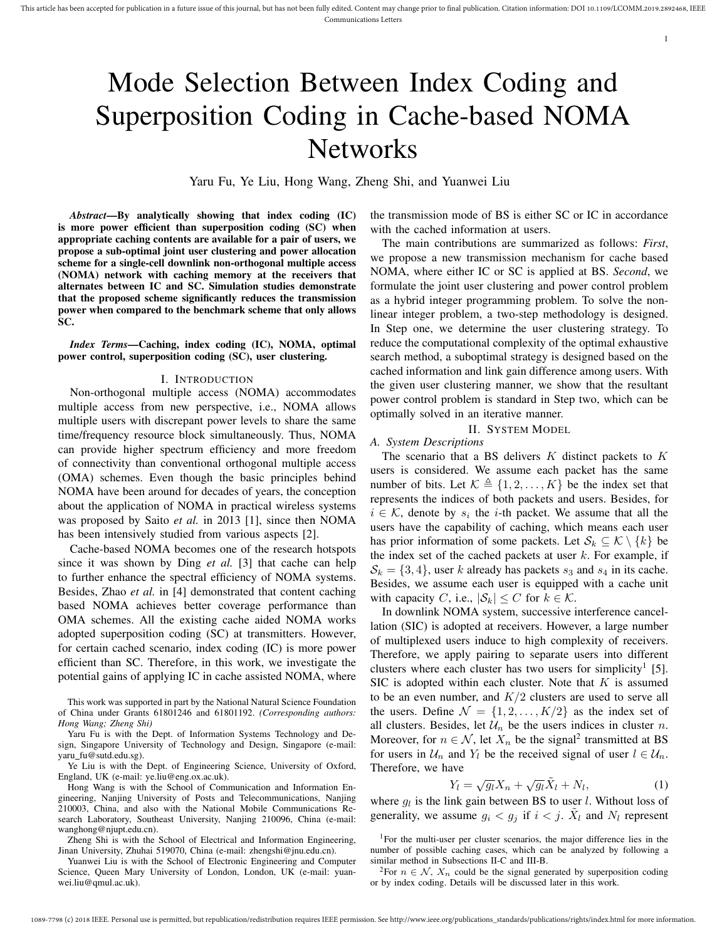# Mode Selection Between Index Coding and Superposition Coding in Cache-based NOMA **Networks**

Yaru Fu, Ye Liu, Hong Wang, Zheng Shi, and Yuanwei Liu

*Abstract*—By analytically showing that index coding (IC) is more power efficient than superposition coding (SC) when appropriate caching contents are available for a pair of users, we propose a sub-optimal joint user clustering and power allocation scheme for a single-cell downlink non-orthogonal multiple access (NOMA) network with caching memory at the receivers that alternates between IC and SC. Simulation studies demonstrate that the proposed scheme significantly reduces the transmission power when compared to the benchmark scheme that only allows SC.

*Index Terms*—Caching, index coding (IC), NOMA, optimal power control, superposition coding (SC), user clustering.

#### I. INTRODUCTION

Non-orthogonal multiple access (NOMA) accommodates multiple access from new perspective, i.e., NOMA allows multiple users with discrepant power levels to share the same time/frequency resource block simultaneously. Thus, NOMA can provide higher spectrum efficiency and more freedom of connectivity than conventional orthogonal multiple access (OMA) schemes. Even though the basic principles behind NOMA have been around for decades of years, the conception about the application of NOMA in practical wireless systems was proposed by Saito *et al.* in 2013 [1], since then NOMA has been intensively studied from various aspects [2].

Cache-based NOMA becomes one of the research hotspots since it was shown by Ding *et al.* [3] that cache can help to further enhance the spectral efficiency of NOMA systems. Besides, Zhao *et al.* in [4] demonstrated that content caching based NOMA achieves better coverage performance than OMA schemes. All the existing cache aided NOMA works adopted superposition coding (SC) at transmitters. However, for certain cached scenario, index coding (IC) is more power efficient than SC. Therefore, in this work, we investigate the potential gains of applying IC in cache assisted NOMA, where

This work was supported in part by the National Natural Science Foundation of China under Grants 61801246 and 61801192. *(Corresponding authors: Hong Wang; Zheng Shi)*

Yaru Fu is with the Dept. of Information Systems Technology and Design, Singapore University of Technology and Design, Singapore (e-mail: yaru\_fu@sutd.edu.sg).

Ye Liu is with the Dept. of Engineering Science, University of Oxford, England, UK (e-mail: ye.liu@eng.ox.ac.uk).

Hong Wang is with the School of Communication and Information Engineering, Nanjing University of Posts and Telecommunications, Nanjing 210003, China, and also with the National Mobile Communications Research Laboratory, Southeast University, Nanjing 210096, China (e-mail: wanghong@njupt.edu.cn).

Zheng Shi is with the School of Electrical and Information Engineering, Jinan University, Zhuhai 519070, China (e-mail: zhengshi@jnu.edu.cn).

Yuanwei Liu is with the School of Electronic Engineering and Computer Science, Queen Mary University of London, London, UK (e-mail: yuanwei.liu@qmul.ac.uk).

the transmission mode of BS is either SC or IC in accordance with the cached information at users.

1

The main contributions are summarized as follows: *First*, we propose a new transmission mechanism for cache based NOMA, where either IC or SC is applied at BS. *Second*, we formulate the joint user clustering and power control problem as a hybrid integer programming problem. To solve the nonlinear integer problem, a two-step methodology is designed. In Step one, we determine the user clustering strategy. To reduce the computational complexity of the optimal exhaustive search method, a suboptimal strategy is designed based on the cached information and link gain difference among users. With the given user clustering manner, we show that the resultant power control problem is standard in Step two, which can be optimally solved in an iterative manner.

### II. SYSTEM MODEL

*A. System Descriptions*

The scenario that a BS delivers *K* distinct packets to *K* users is considered. We assume each packet has the same number of bits. Let  $K \triangleq \{1, 2, ..., K\}$  be the index set that represents the indices of both packets and users. Besides, for  $i \in \mathcal{K}$ , denote by  $s_i$  the *i*-th packet. We assume that all the users have the capability of caching, which means each user has prior information of some packets. Let  $S_k \subseteq \mathcal{K} \setminus \{k\}$  be the index set of the cached packets at user *k*. For example, if  $S_k = \{3, 4\}$ , user *k* already has packets  $s_3$  and  $s_4$  in its cache. Besides, we assume each user is equipped with a cache unit with capacity *C*, i.e.,  $|\mathcal{S}_k| \leq C$  for  $k \in \mathcal{K}$ .

In downlink NOMA system, successive interference cancellation (SIC) is adopted at receivers. However, a large number of multiplexed users induce to high complexity of receivers. Therefore, we apply pairing to separate users into different clusters where each cluster has two users for simplicity<sup>1</sup> [5]. SIC is adopted within each cluster. Note that *K* is assumed to be an even number, and *K/*2 clusters are used to serve all the users. Define  $\mathcal{N} = \{1, 2, \dots, K/2\}$  as the index set of all clusters. Besides, let  $\mathcal{U}_n$  be the users indices in cluster *n*. Moreover, for  $n \in \mathcal{N}$ , let  $X_n$  be the signal<sup>2</sup> transmitted at BS for users in  $U_n$  and  $Y_l$  be the received signal of user  $l \in U_n$ . Therefore, we have

$$
Y_l = \sqrt{g_l} X_n + \sqrt{g_l} \tilde{X}_l + N_l, \tag{1}
$$

where  $g_l$  is the link gain between BS to user *l*. Without loss of generality, we assume  $g_i < g_j$  if  $i < j$ .  $\tilde{X}_l$  and  $N_l$  represent

<sup>1</sup>For the multi-user per cluster scenarios, the major difference lies in the number of possible caching cases, which can be analyzed by following a similar method in Subsections II-C and III-B.

<sup>2</sup>For  $n \in \mathcal{N}$ ,  $X_n$  could be the signal generated by superposition coding or by index coding. Details will be discussed later in this work.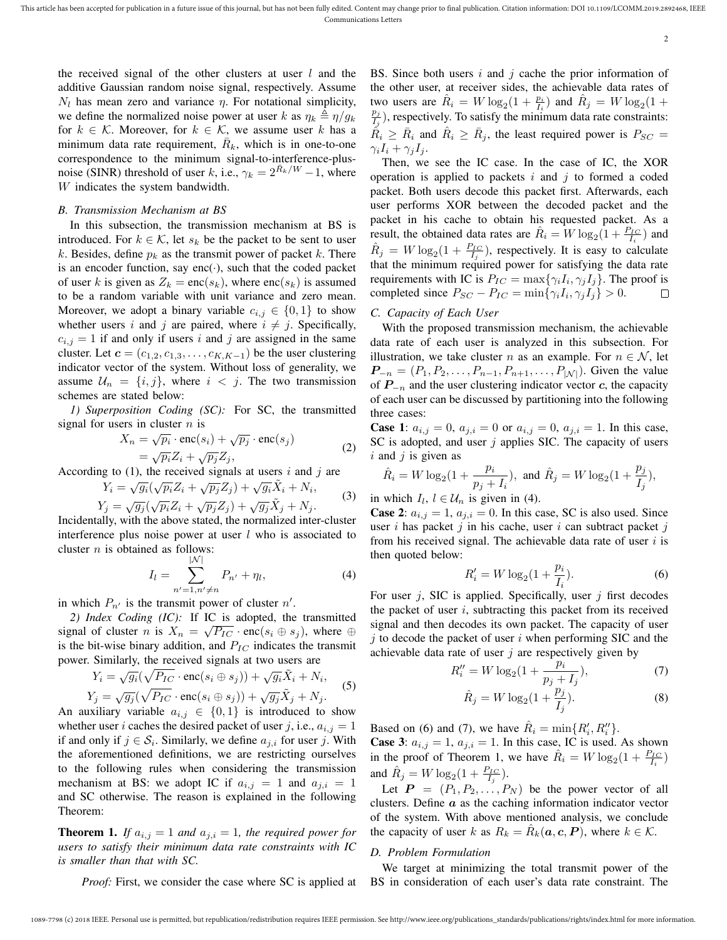2

the received signal of the other clusters at user *l* and the additive Gaussian random noise signal, respectively. Assume  $N_l$  has mean zero and variance  $\eta$ . For notational simplicity, we define the normalized noise power at user *k* as  $\eta_k \triangleq \eta/g_k$ for  $k \in \mathcal{K}$ . Moreover, for  $k \in \mathcal{K}$ , we assume user  $k$  has a minimum data rate requirement,  $\bar{R}_k$ , which is in one-to-one correspondence to the minimum signal-to-interference-plusnoise (SINR) threshold of user *k*, i.e.,  $\gamma_k = 2^{R_k/W} - 1$ , where *W* indicates the system bandwidth.

#### *B. Transmission Mechanism at BS*

In this subsection, the transmission mechanism at BS is introduced. For  $k \in \mathcal{K}$ , let  $s_k$  be the packet to be sent to user  $k$ . Besides, define  $p_k$  as the transmit power of packet  $k$ . There is an encoder function, say enc(*·*), such that the coded packet of user *k* is given as  $Z_k = \text{enc}(s_k)$ , where  $\text{enc}(s_k)$  is assumed to be a random variable with unit variance and zero mean. Moreover, we adopt a binary variable  $c_{i,j} \in \{0,1\}$  to show whether users *i* and *j* are paired, where  $i \neq j$ . Specifically,  $c_{i,j} = 1$  if and only if users *i* and *j* are assigned in the same cluster. Let  $\mathbf{c} = (c_{1,2}, c_{1,3}, \dots, c_{K,K-1})$  be the user clustering indicator vector of the system. Without loss of generality, we assume  $\mathcal{U}_n = \{i, j\}$ , where  $i < j$ . The two transmission schemes are stated below:

*1) Superposition Coding (SC):* For SC, the transmitted signal for users in cluster *n* is

$$
X_n = \sqrt{p_i} \cdot \text{enc}(s_i) + \sqrt{p_j} \cdot \text{enc}(s_j)
$$
  
=  $\sqrt{p_i} Z_i + \sqrt{p_j} Z_j,$  (2)

According to (1), the received signals at users *i* and *j* are

$$
Y_i = \sqrt{g_i}(\sqrt{p_i}Z_i + \sqrt{p_j}Z_j) + \sqrt{g_i}\tilde{X}_i + N_i,
$$
  
\n
$$
Y_j = \sqrt{g_j}(\sqrt{p_i}Z_i + \sqrt{p_j}Z_j) + \sqrt{g_j}\tilde{X}_j + N_j.
$$
 (3)

Incidentally, with the above stated, the normalized inter-cluster interference plus noise power at user *l* who is associated to cluster *n* is obtained as follows:

$$
I_{l} = \sum_{n'=1, n'\neq n}^{|N|} P_{n'} + \eta_{l}, \tag{4}
$$

in which  $P_{n'}$  is the transmit power of cluster  $n'$ .

*2) Index Coding (IC):* If IC is adopted, the transmitted signal of cluster *n* is  $X_n = \sqrt{P_{IC}} \cdot \text{enc}(s_i \oplus s_j)$ , where  $\oplus$ is the bit-wise binary addition, and *PIC* indicates the transmit

power. Similarly, the received signals at two users are  
\n
$$
Y_i = \sqrt{g_i}(\sqrt{P_{IC}} \cdot \text{enc}(s_i \oplus s_j)) + \sqrt{g_i} \tilde{X}_i + N_i,
$$
\n
$$
Y_j = \sqrt{g_j}(\sqrt{P_{IC}} \cdot \text{enc}(s_i \oplus s_j)) + \sqrt{g_j} \tilde{X}_j + N_j.
$$
\n(5)

An auxiliary variable  $a_{i,j} \in \{0,1\}$  is introduced to show whether user *i* caches the desired packet of user *j*, i.e.,  $a_{i,j} = 1$ if and only if  $j \in S_i$ . Similarly, we define  $a_{j,i}$  for user *j*. With the aforementioned definitions, we are restricting ourselves to the following rules when considering the transmission mechanism at BS: we adopt IC if  $a_{i,j} = 1$  and  $a_{j,i} = 1$ and SC otherwise. The reason is explained in the following Theorem:

**Theorem 1.** If  $a_{i,j} = 1$  and  $a_{j,i} = 1$ , the required power for *users to satisfy their minimum data rate constraints with IC is smaller than that with SC.*

*Proof:* First, we consider the case where SC is applied at

BS. Since both users *i* and *j* cache the prior information of the other user, at receiver sides, the achievable data rates of two users are  $\hat{R}_i = W \log_2(1 + \frac{p_i}{I_i})$  and  $\hat{R}_j = W \log_2(1 + \frac{p_i}{I_i})$ *pj*  $\frac{p_j}{I_j}$ ), respectively. To satisfy the minimum data rate constraints:  $\hat{R}_i \geq \bar{R}_i$  and  $\hat{R}_i \geq \bar{R}_j$ , the least required power is  $P_{SC} =$  $\gamma_i I_i + \gamma_j I_j$ .

Then, we see the IC case. In the case of IC, the XOR operation is applied to packets *i* and *j* to formed a coded packet. Both users decode this packet first. Afterwards, each user performs XOR between the decoded packet and the packet in his cache to obtain his requested packet. As a result, the obtained data rates are  $\hat{R}_i = W \log_2(1 + \frac{P_{IC}}{I_i})$  and  $\hat{R}_j = W \log_2(1 + \frac{P_{IC}}{I_j})$ , respectively. It is easy to calculate that the minimum required power for satisfying the data rate requirements with IC is  $P_{IC} = \max\{\gamma_i I_i, \gamma_j I_j\}$ . The proof is completed since  $P_{SC} - P_{IC} = \min\{\gamma_i I_i, \gamma_j I_j\} > 0.$ 

### *C. Capacity of Each User*

With the proposed transmission mechanism, the achievable data rate of each user is analyzed in this subsection. For illustration, we take cluster *n* as an example. For  $n \in \mathcal{N}$ , let  $P_{-n} = (P_1, P_2, \ldots, P_{n-1}, P_{n+1}, \ldots, P_{|N|})$ . Given the value of *P−<sup>n</sup>* and the user clustering indicator vector *c*, the capacity of each user can be discussed by partitioning into the following three cases:

**Case 1:**  $a_{i,j} = 0$ ,  $a_{j,i} = 0$  or  $a_{i,j} = 0$ ,  $a_{j,i} = 1$ . In this case, SC is adopted, and user *j* applies SIC. The capacity of users *i* and *j* is given as

$$
\hat{R}_i = W \log_2(1 + \frac{p_i}{p_j + I_i}),
$$
 and  $\hat{R}_j = W \log_2(1 + \frac{p_j}{I_j}),$ 

in which  $I_l$ ,  $l \in \mathcal{U}_n$  is given in (4).

**Case 2:**  $a_{i,j} = 1$ ,  $a_{j,i} = 0$ . In this case, SC is also used. Since user *i* has packet *j* in his cache, user *i* can subtract packet *j* from his received signal. The achievable data rate of user *i* is then quoted below:

$$
R'_{i} = W \log_2(1 + \frac{p_i}{I_i}).
$$
\n(6)

For user *j*, SIC is applied. Specifically, user *j* first decodes the packet of user *i*, subtracting this packet from its received signal and then decodes its own packet. The capacity of user *j* to decode the packet of user *i* when performing SIC and the achievable data rate of user *j* are respectively given by

$$
R_i'' = W \log_2(1 + \frac{p_i}{p_j + I_j}),\tag{7}
$$

$$
\hat{R}_j = W \log_2\left(1 + \frac{p_j}{I_j}\right). \tag{8}
$$

Based on (6) and (7), we have  $\hat{R}_i = \min\{R'_i, R''_i\}.$ 

**Case 3:**  $a_{i,j} = 1$ ,  $a_{j,i} = 1$ . In this case, IC is used. As shown in the proof of Theorem 1, we have  $\hat{R}_i = W \log_2(1 + \frac{P_{IC}}{I_i})$ and  $\hat{R}_j = W \log_2(1 + \frac{P_{IC}}{I_j}).$ 

Let  $P = (P_1, P_2, \ldots, P_N)$  be the power vector of all clusters. Define *a* as the caching information indicator vector of the system. With above mentioned analysis, we conclude the capacity of user *k* as  $R_k = \hat{R}_k(a, c, P)$ , where  $k \in \mathcal{K}$ .

#### *D. Problem Formulation*

We target at minimizing the total transmit power of the BS in consideration of each user's data rate constraint. The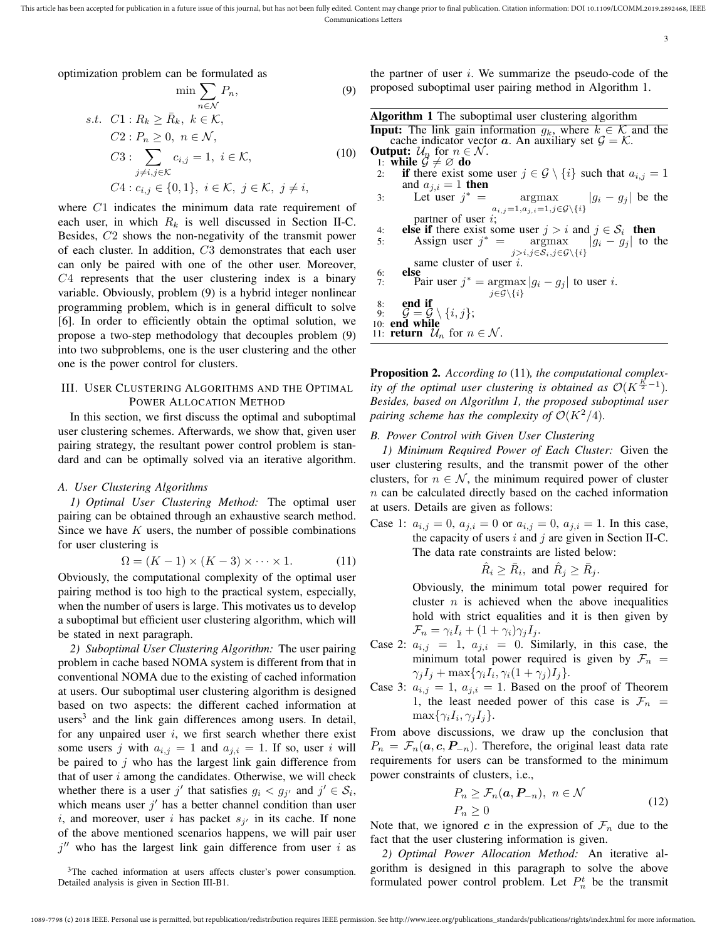3

optimization problem can be formulated as

$$
\min \sum_{n \in \mathcal{N}} P_n,
$$
\n
$$
s.t. \ C1: R_k \ge \bar{R}_k, \ k \in \mathcal{K},
$$
\n
$$
C2: P_n \ge 0, \ n \in \mathcal{N},
$$
\n
$$
C3: \sum_{\substack{j \neq i, j \in \mathcal{K} \\ j \neq i, j \in \mathcal{K}}} c_{i,j} = 1, \ i \in \mathcal{K},
$$
\n
$$
C4: c_{i,j} \in \{0, 1\}, \ i \in \mathcal{K}, \ j \in \mathcal{K}, \ j \neq i,
$$
\n
$$
(10)
$$

where *C*1 indicates the minimum data rate requirement of each user, in which  $R_k$  is well discussed in Section II-C. Besides, *C*2 shows the non-negativity of the transmit power of each cluster. In addition, *C*3 demonstrates that each user can only be paired with one of the other user. Moreover, *C*4 represents that the user clustering index is a binary variable. Obviously, problem (9) is a hybrid integer nonlinear programming problem, which is in general difficult to solve [6]. In order to efficiently obtain the optimal solution, we propose a two-step methodology that decouples problem (9) into two subproblems, one is the user clustering and the other one is the power control for clusters.

#### III. USER CLUSTERING ALGORITHMS AND THE OPTIMAL POWER ALLOCATION METHOD

In this section, we first discuss the optimal and suboptimal user clustering schemes. Afterwards, we show that, given user pairing strategy, the resultant power control problem is standard and can be optimally solved via an iterative algorithm.

#### *A. User Clustering Algorithms*

*1) Optimal User Clustering Method:* The optimal user pairing can be obtained through an exhaustive search method. Since we have *K* users, the number of possible combinations for user clustering is

$$
\Omega = (K - 1) \times (K - 3) \times \dots \times 1.
$$
 (11)

Obviously, the computational complexity of the optimal user pairing method is too high to the practical system, especially, when the number of users is large. This motivates us to develop a suboptimal but efficient user clustering algorithm, which will be stated in next paragraph.

*2) Suboptimal User Clustering Algorithm:* The user pairing problem in cache based NOMA system is different from that in conventional NOMA due to the existing of cached information at users. Our suboptimal user clustering algorithm is designed based on two aspects: the different cached information at users<sup>3</sup> and the link gain differences among users. In detail, for any unpaired user *i*, we first search whether there exist some users *j* with  $a_{i,j} = 1$  and  $a_{j,i} = 1$ . If so, user *i* will be paired to *j* who has the largest link gain difference from that of user *i* among the candidates. Otherwise, we will check whether there is a user  $j'$  that satisfies  $g_i < g_{j'}$  and  $j' \in S_i$ , which means user  $j'$  has a better channel condition than user *i*, and moreover, user *i* has packet  $s_{j'}$  in its cache. If none of the above mentioned scenarios happens, we will pair user *j ′′* who has the largest link gain difference from user *i* as

the partner of user *i*. We summarize the pseudo-code of the proposed suboptimal user pairing method in Algorithm 1.

| <b>Algorithm 1</b> The suboptimal user clustering algorithm                                                             |
|-------------------------------------------------------------------------------------------------------------------------|
| <b>Input:</b> The link gain information $g_k$ , where $k \in \mathcal{K}$ and the                                       |
| cache indicator vector $\boldsymbol{a}$ . An auxiliary set $\mathcal{G} = \mathcal{K}$ .                                |
| <b>Output:</b> $\mathcal{U}_n$ for $n \in \mathcal{N}$ .                                                                |
| 1: while $\mathcal{G} \neq \emptyset$ do                                                                                |
| 2: if there exist some user $j \in \mathcal{G} \setminus \{i\}$ such that $a_{i,j} = 1$                                 |
| and $a_{j,i}=1$ then                                                                                                    |
| 3: Let user $j^* = \underset{a_{i,j}=1, a_{j,i}=1, j \in \mathcal{G}\backslash\{i\}}{\text{argmax}}  g_i - g_j $ be the |
|                                                                                                                         |
| partner of user $i$ ;                                                                                                   |
| <b>else if</b> there exist some user $j > i$ and $j \in S_i$ then<br>4:                                                 |
| Assign user $j^*$ = argmax $ g_i - g_j $ to the<br>5:                                                                   |
| $j > i, j \in S_i, j \in \mathcal{G} \backslash \{i\}$                                                                  |
| same cluster of user $i$ .                                                                                              |
| else<br>6:                                                                                                              |
| Pair user $j^* = \argmax  g_i - g_j $ to user i.<br>7:                                                                  |
| $j \in \mathcal{G} \backslash \{i\}$                                                                                    |
| end if<br>8:                                                                                                            |
| 9: $\mathcal{G} = \mathcal{G} \setminus \{i, j\};$                                                                      |
| 10: end while                                                                                                           |
| 11: <b>return</b> $\mathcal{U}_n$ for $n \in \mathcal{N}$ .                                                             |

Proposition 2. *According to* (11)*, the computational complexity of the optimal user clustering is obtained as*  $\mathcal{O}(K^{\frac{K}{2}-1})$ *. Besides, based on Algorithm 1, the proposed suboptimal user pairing scheme has the complexity of*  $\mathcal{O}(K^2/4)$ *.* 

#### *B. Power Control with Given User Clustering*

*1) Minimum Required Power of Each Cluster:* Given the user clustering results, and the transmit power of the other clusters, for  $n \in \mathcal{N}$ , the minimum required power of cluster *n* can be calculated directly based on the cached information at users. Details are given as follows:

Case 1:  $a_{i,j} = 0$ ,  $a_{j,i} = 0$  or  $a_{i,j} = 0$ ,  $a_{j,i} = 1$ . In this case, the capacity of users *i* and *j* are given in Section II-C. The data rate constraints are listed below:

$$
\hat{R}_i \ge \bar{R}_i, \text{ and } \hat{R}_j \ge \bar{R}_j.
$$

Obviously, the minimum total power required for cluster  $n$  is achieved when the above inequalities hold with strict equalities and it is then given by  $\mathcal{F}_n = \gamma_i I_i + (1 + \gamma_i) \gamma_j I_j.$ 

- Case 2:  $a_{i,j} = 1$ ,  $a_{j,i} = 0$ . Similarly, in this case, the minimum total power required is given by  $\mathcal{F}_n$  =  $\gamma_j I_j + \max\{\gamma_i I_i, \gamma_i (1 + \gamma_j) I_j\}.$
- Case 3:  $a_{i,j} = 1$ ,  $a_{j,i} = 1$ . Based on the proof of Theorem 1, the least needed power of this case is  $\mathcal{F}_n$  =  $\max\{\gamma_i I_i, \gamma_j I_j\}.$

From above discussions, we draw up the conclusion that  $P_n = \mathcal{F}_n(a, c, P_{-n})$ . Therefore, the original least data rate requirements for users can be transformed to the minimum power constraints of clusters, i.e.,

$$
P_n \ge \mathcal{F}_n(\mathbf{a}, \mathbf{P}_{-n}), \ n \in \mathcal{N}
$$
  
\n
$$
P_n \ge 0
$$
\n<sup>(12)</sup>

Note that, we ignored *c* in the expression of  $\mathcal{F}_n$  due to the fact that the user clustering information is given.

*2) Optimal Power Allocation Method:* An iterative algorithm is designed in this paragraph to solve the above formulated power control problem. Let  $P_n^t$  be the transmit

<sup>&</sup>lt;sup>3</sup>The cached information at users affects cluster's power consumption. Detailed analysis is given in Section III-B1.